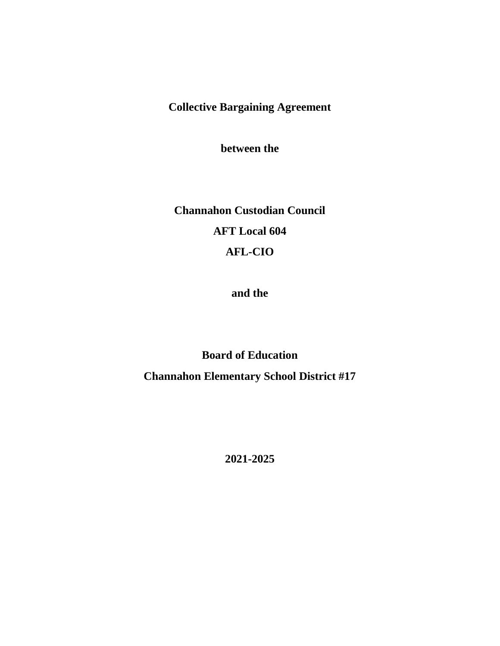**Collective Bargaining Agreement**

**between the**

**Channahon Custodian Council AFT Local 604 AFL-CIO**

**and the**

**Board of Education Channahon Elementary School District #17**

**2021-2025**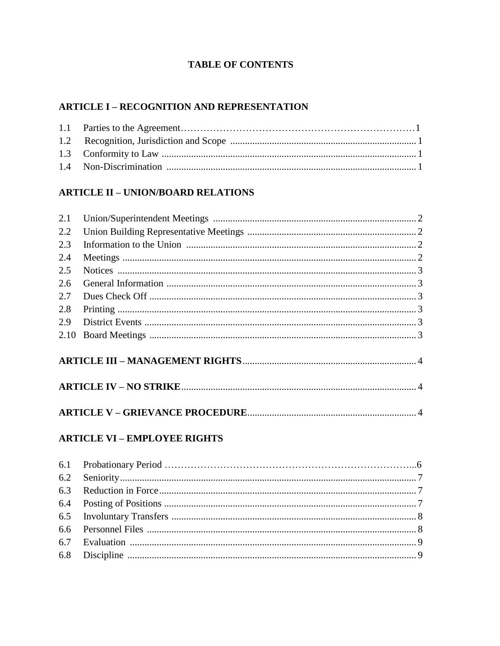# **TABLE OF CONTENTS**

# **ARTICLE I - RECOGNITION AND REPRESENTATION**

# **ARTICLE II - UNION/BOARD RELATIONS**

| 2.1 |  |  |
|-----|--|--|
| 2.2 |  |  |
| 2.3 |  |  |
| 2.4 |  |  |
| 2.5 |  |  |
| 2.6 |  |  |
| 2.7 |  |  |
| 2.8 |  |  |
| 2.9 |  |  |
|     |  |  |
|     |  |  |
|     |  |  |
|     |  |  |

# **ARTICLE VI - EMPLOYEE RIGHTS**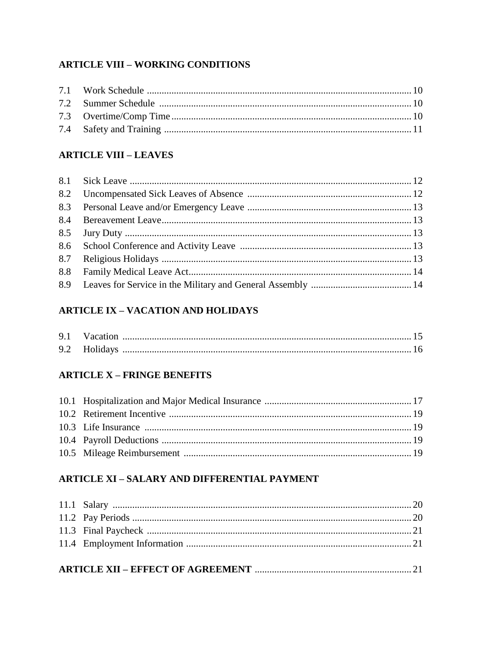# **ARTICLE VIII - WORKING CONDITIONS**

# **ARTICLE VIII - LEAVES**

# **ARTICLE IX - VACATION AND HOLIDAYS**

| 9.1 Vacation |  |
|--------------|--|
| 9.2 Holidays |  |

# **ARTICLE X - FRINGE BENEFITS**

# **ARTICLE XI - SALARY AND DIFFERENTIAL PAYMENT**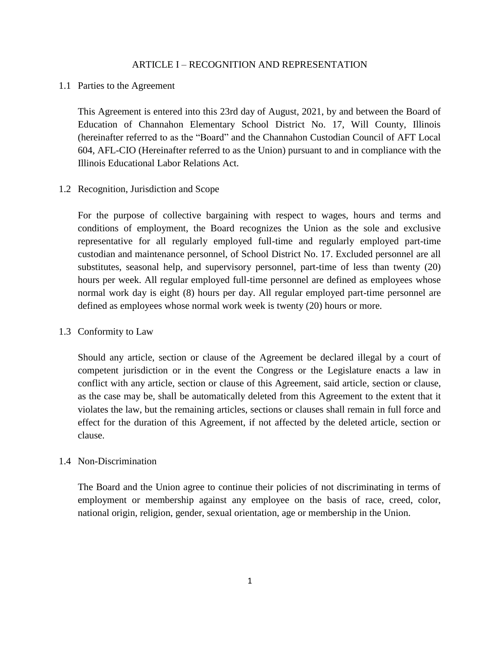### ARTICLE I – RECOGNITION AND REPRESENTATION

### 1.1 Parties to the Agreement

This Agreement is entered into this 23rd day of August, 2021, by and between the Board of Education of Channahon Elementary School District No. 17, Will County, Illinois (hereinafter referred to as the "Board" and the Channahon Custodian Council of AFT Local 604, AFL-CIO (Hereinafter referred to as the Union) pursuant to and in compliance with the Illinois Educational Labor Relations Act.

### 1.2 Recognition, Jurisdiction and Scope

For the purpose of collective bargaining with respect to wages, hours and terms and conditions of employment, the Board recognizes the Union as the sole and exclusive representative for all regularly employed full-time and regularly employed part-time custodian and maintenance personnel, of School District No. 17. Excluded personnel are all substitutes, seasonal help, and supervisory personnel, part-time of less than twenty (20) hours per week. All regular employed full-time personnel are defined as employees whose normal work day is eight (8) hours per day. All regular employed part-time personnel are defined as employees whose normal work week is twenty (20) hours or more.

### 1.3 Conformity to Law

Should any article, section or clause of the Agreement be declared illegal by a court of competent jurisdiction or in the event the Congress or the Legislature enacts a law in conflict with any article, section or clause of this Agreement, said article, section or clause, as the case may be, shall be automatically deleted from this Agreement to the extent that it violates the law, but the remaining articles, sections or clauses shall remain in full force and effect for the duration of this Agreement, if not affected by the deleted article, section or clause.

### 1.4 Non-Discrimination

The Board and the Union agree to continue their policies of not discriminating in terms of employment or membership against any employee on the basis of race, creed, color, national origin, religion, gender, sexual orientation, age or membership in the Union.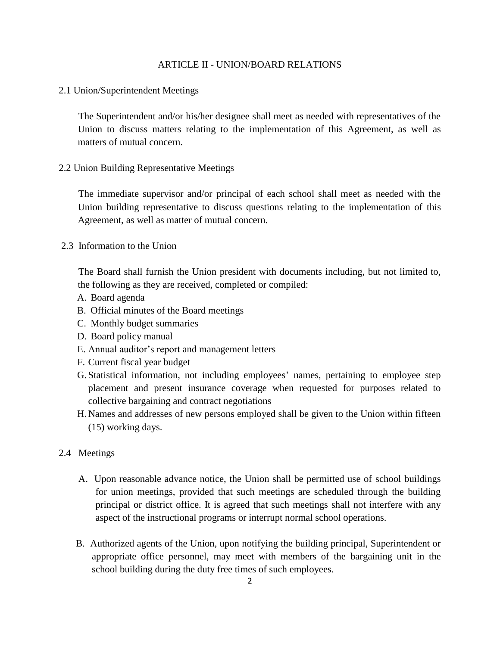### ARTICLE II - UNION/BOARD RELATIONS

2.1 Union/Superintendent Meetings

 The Superintendent and/or his/her designee shall meet as needed with representatives of the Union to discuss matters relating to the implementation of this Agreement, as well as matters of mutual concern.

2.2 Union Building Representative Meetings

 The immediate supervisor and/or principal of each school shall meet as needed with the Union building representative to discuss questions relating to the implementation of this Agreement, as well as matter of mutual concern.

2.3 Information to the Union

 The Board shall furnish the Union president with documents including, but not limited to, the following as they are received, completed or compiled:

- A. Board agenda
- B. Official minutes of the Board meetings
- C. Monthly budget summaries
- D. Board policy manual
- E. Annual auditor's report and management letters
- F. Current fiscal year budget
- G. Statistical information, not including employees' names, pertaining to employee step placement and present insurance coverage when requested for purposes related to collective bargaining and contract negotiations
- H. Names and addresses of new persons employed shall be given to the Union within fifteen (15) working days.
- 2.4 Meetings
	- A. Upon reasonable advance notice, the Union shall be permitted use of school buildings for union meetings, provided that such meetings are scheduled through the building principal or district office. It is agreed that such meetings shall not interfere with any aspect of the instructional programs or interrupt normal school operations.
	- B. Authorized agents of the Union, upon notifying the building principal, Superintendent or appropriate office personnel, may meet with members of the bargaining unit in the school building during the duty free times of such employees.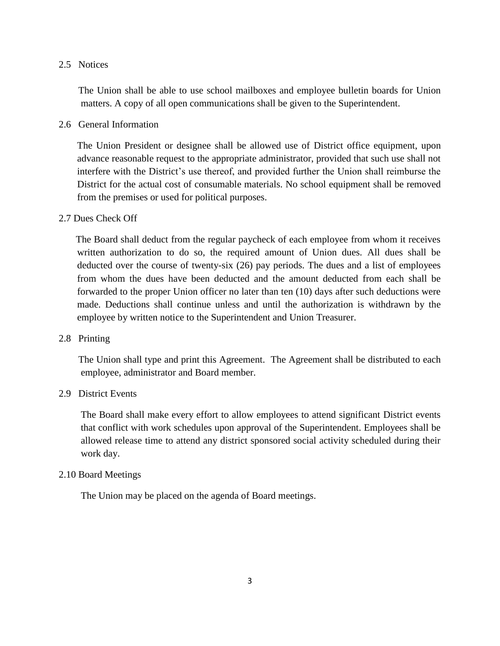### 2.5 Notices

 The Union shall be able to use school mailboxes and employee bulletin boards for Union matters. A copy of all open communications shall be given to the Superintendent.

### 2.6 General Information

The Union President or designee shall be allowed use of District office equipment, upon advance reasonable request to the appropriate administrator, provided that such use shall not interfere with the District's use thereof, and provided further the Union shall reimburse the District for the actual cost of consumable materials. No school equipment shall be removed from the premises or used for political purposes.

### 2.7 Dues Check Off

 The Board shall deduct from the regular paycheck of each employee from whom it receives written authorization to do so, the required amount of Union dues. All dues shall be deducted over the course of twenty-six (26) pay periods. The dues and a list of employees from whom the dues have been deducted and the amount deducted from each shall be forwarded to the proper Union officer no later than ten (10) days after such deductions were made. Deductions shall continue unless and until the authorization is withdrawn by the employee by written notice to the Superintendent and Union Treasurer.

### 2.8 Printing

 The Union shall type and print this Agreement. The Agreement shall be distributed to each employee, administrator and Board member.

## 2.9 District Events

The Board shall make every effort to allow employees to attend significant District events that conflict with work schedules upon approval of the Superintendent. Employees shall be allowed release time to attend any district sponsored social activity scheduled during their work day.

### 2.10 Board Meetings

The Union may be placed on the agenda of Board meetings.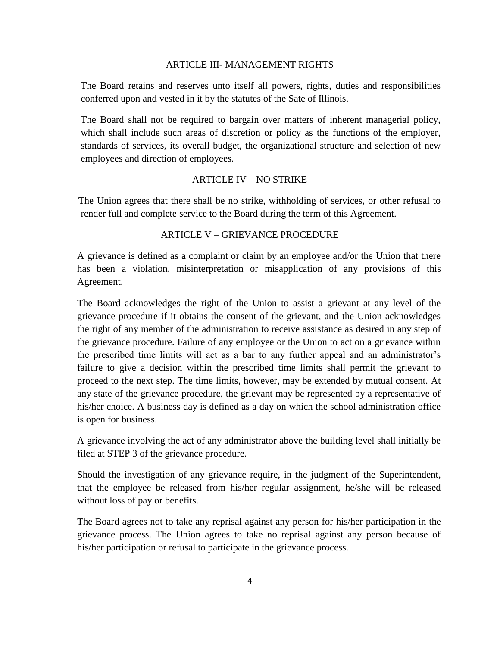### ARTICLE III- MANAGEMENT RIGHTS

 The Board retains and reserves unto itself all powers, rights, duties and responsibilities conferred upon and vested in it by the statutes of the Sate of Illinois.

 The Board shall not be required to bargain over matters of inherent managerial policy, which shall include such areas of discretion or policy as the functions of the employer, standards of services, its overall budget, the organizational structure and selection of new employees and direction of employees.

# ARTICLE IV – NO STRIKE

 The Union agrees that there shall be no strike, withholding of services, or other refusal to render full and complete service to the Board during the term of this Agreement.

### ARTICLE V – GRIEVANCE PROCEDURE

A grievance is defined as a complaint or claim by an employee and/or the Union that there has been a violation, misinterpretation or misapplication of any provisions of this Agreement.

The Board acknowledges the right of the Union to assist a grievant at any level of the grievance procedure if it obtains the consent of the grievant, and the Union acknowledges the right of any member of the administration to receive assistance as desired in any step of the grievance procedure. Failure of any employee or the Union to act on a grievance within the prescribed time limits will act as a bar to any further appeal and an administrator's failure to give a decision within the prescribed time limits shall permit the grievant to proceed to the next step. The time limits, however, may be extended by mutual consent. At any state of the grievance procedure, the grievant may be represented by a representative of his/her choice. A business day is defined as a day on which the school administration office is open for business.

A grievance involving the act of any administrator above the building level shall initially be filed at STEP 3 of the grievance procedure.

Should the investigation of any grievance require, in the judgment of the Superintendent, that the employee be released from his/her regular assignment, he/she will be released without loss of pay or benefits.

The Board agrees not to take any reprisal against any person for his/her participation in the grievance process. The Union agrees to take no reprisal against any person because of his/her participation or refusal to participate in the grievance process.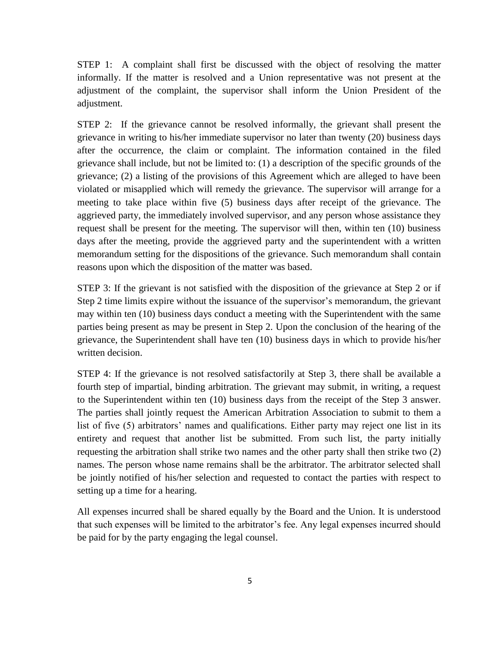STEP 1: A complaint shall first be discussed with the object of resolving the matter informally. If the matter is resolved and a Union representative was not present at the adjustment of the complaint, the supervisor shall inform the Union President of the adjustment.

STEP 2: If the grievance cannot be resolved informally, the grievant shall present the grievance in writing to his/her immediate supervisor no later than twenty (20) business days after the occurrence, the claim or complaint. The information contained in the filed grievance shall include, but not be limited to: (1) a description of the specific grounds of the grievance; (2) a listing of the provisions of this Agreement which are alleged to have been violated or misapplied which will remedy the grievance. The supervisor will arrange for a meeting to take place within five (5) business days after receipt of the grievance. The aggrieved party, the immediately involved supervisor, and any person whose assistance they request shall be present for the meeting. The supervisor will then, within ten (10) business days after the meeting, provide the aggrieved party and the superintendent with a written memorandum setting for the dispositions of the grievance. Such memorandum shall contain reasons upon which the disposition of the matter was based.

STEP 3: If the grievant is not satisfied with the disposition of the grievance at Step 2 or if Step 2 time limits expire without the issuance of the supervisor's memorandum, the grievant may within ten (10) business days conduct a meeting with the Superintendent with the same parties being present as may be present in Step 2. Upon the conclusion of the hearing of the grievance, the Superintendent shall have ten (10) business days in which to provide his/her written decision.

STEP 4: If the grievance is not resolved satisfactorily at Step 3, there shall be available a fourth step of impartial, binding arbitration. The grievant may submit, in writing, a request to the Superintendent within ten (10) business days from the receipt of the Step 3 answer. The parties shall jointly request the American Arbitration Association to submit to them a list of five (5) arbitrators' names and qualifications. Either party may reject one list in its entirety and request that another list be submitted. From such list, the party initially requesting the arbitration shall strike two names and the other party shall then strike two (2) names. The person whose name remains shall be the arbitrator. The arbitrator selected shall be jointly notified of his/her selection and requested to contact the parties with respect to setting up a time for a hearing.

All expenses incurred shall be shared equally by the Board and the Union. It is understood that such expenses will be limited to the arbitrator's fee. Any legal expenses incurred should be paid for by the party engaging the legal counsel.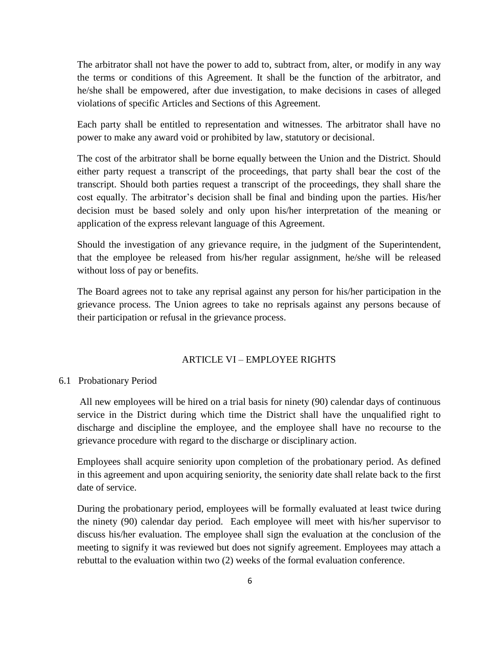The arbitrator shall not have the power to add to, subtract from, alter, or modify in any way the terms or conditions of this Agreement. It shall be the function of the arbitrator, and he/she shall be empowered, after due investigation, to make decisions in cases of alleged violations of specific Articles and Sections of this Agreement.

Each party shall be entitled to representation and witnesses. The arbitrator shall have no power to make any award void or prohibited by law, statutory or decisional.

The cost of the arbitrator shall be borne equally between the Union and the District. Should either party request a transcript of the proceedings, that party shall bear the cost of the transcript. Should both parties request a transcript of the proceedings, they shall share the cost equally. The arbitrator's decision shall be final and binding upon the parties. His/her decision must be based solely and only upon his/her interpretation of the meaning or application of the express relevant language of this Agreement.

Should the investigation of any grievance require, in the judgment of the Superintendent, that the employee be released from his/her regular assignment, he/she will be released without loss of pay or benefits.

The Board agrees not to take any reprisal against any person for his/her participation in the grievance process. The Union agrees to take no reprisals against any persons because of their participation or refusal in the grievance process.

### ARTICLE VI – EMPLOYEE RIGHTS

### 6.1 Probationary Period

All new employees will be hired on a trial basis for ninety (90) calendar days of continuous service in the District during which time the District shall have the unqualified right to discharge and discipline the employee, and the employee shall have no recourse to the grievance procedure with regard to the discharge or disciplinary action.

Employees shall acquire seniority upon completion of the probationary period. As defined in this agreement and upon acquiring seniority, the seniority date shall relate back to the first date of service.

During the probationary period, employees will be formally evaluated at least twice during the ninety (90) calendar day period. Each employee will meet with his/her supervisor to discuss his/her evaluation. The employee shall sign the evaluation at the conclusion of the meeting to signify it was reviewed but does not signify agreement. Employees may attach a rebuttal to the evaluation within two (2) weeks of the formal evaluation conference.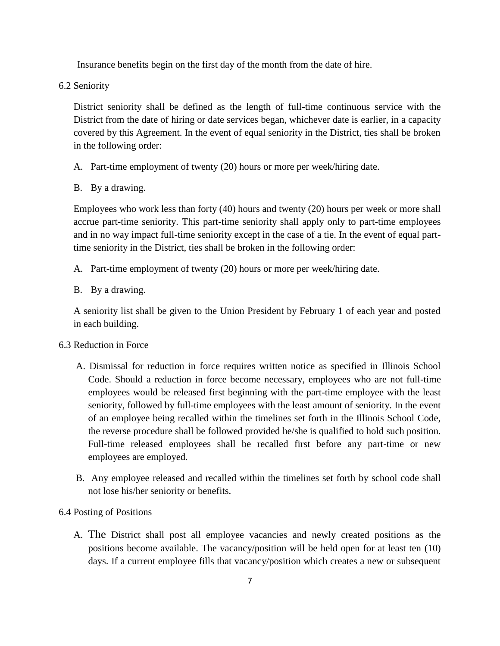Insurance benefits begin on the first day of the month from the date of hire.

6.2 Seniority

District seniority shall be defined as the length of full-time continuous service with the District from the date of hiring or date services began, whichever date is earlier, in a capacity covered by this Agreement. In the event of equal seniority in the District, ties shall be broken in the following order:

- A. Part-time employment of twenty (20) hours or more per week/hiring date.
- B. By a drawing.

Employees who work less than forty (40) hours and twenty (20) hours per week or more shall accrue part-time seniority. This part-time seniority shall apply only to part-time employees and in no way impact full-time seniority except in the case of a tie. In the event of equal parttime seniority in the District, ties shall be broken in the following order:

- A. Part-time employment of twenty (20) hours or more per week/hiring date.
- B. By a drawing.

A seniority list shall be given to the Union President by February 1 of each year and posted in each building.

# 6.3 Reduction in Force

- A. Dismissal for reduction in force requires written notice as specified in Illinois School Code. Should a reduction in force become necessary, employees who are not full-time employees would be released first beginning with the part-time employee with the least seniority, followed by full-time employees with the least amount of seniority. In the event of an employee being recalled within the timelines set forth in the Illinois School Code, the reverse procedure shall be followed provided he/she is qualified to hold such position. Full-time released employees shall be recalled first before any part-time or new employees are employed.
- B. Any employee released and recalled within the timelines set forth by school code shall not lose his/her seniority or benefits.
- 6.4 Posting of Positions
	- A. The District shall post all employee vacancies and newly created positions as the positions become available. The vacancy/position will be held open for at least ten (10) days. If a current employee fills that vacancy/position which creates a new or subsequent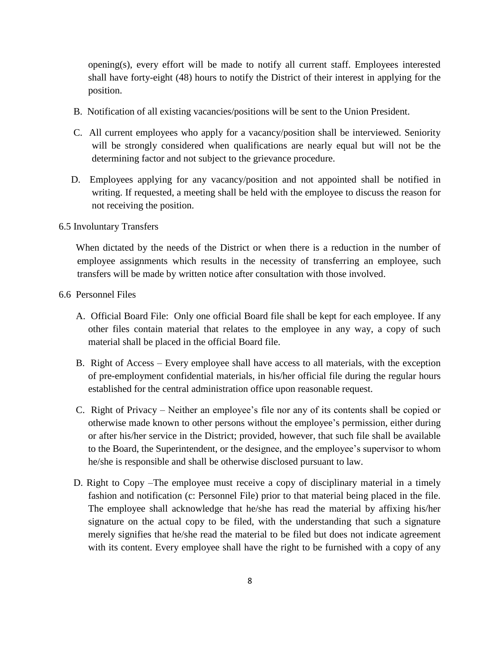opening(s), every effort will be made to notify all current staff. Employees interested shall have forty-eight (48) hours to notify the District of their interest in applying for the position.

- B. Notification of all existing vacancies/positions will be sent to the Union President.
- C. All current employees who apply for a vacancy/position shall be interviewed. Seniority will be strongly considered when qualifications are nearly equal but will not be the determining factor and not subject to the grievance procedure.
- D. Employees applying for any vacancy/position and not appointed shall be notified in writing. If requested, a meeting shall be held with the employee to discuss the reason for not receiving the position.
- 6.5 Involuntary Transfers

 When dictated by the needs of the District or when there is a reduction in the number of employee assignments which results in the necessity of transferring an employee, such transfers will be made by written notice after consultation with those involved.

- 6.6 Personnel Files
	- A. Official Board File: Only one official Board file shall be kept for each employee. If any other files contain material that relates to the employee in any way, a copy of such material shall be placed in the official Board file.
	- B. Right of Access Every employee shall have access to all materials, with the exception of pre-employment confidential materials, in his/her official file during the regular hours established for the central administration office upon reasonable request.
	- C. Right of Privacy Neither an employee's file nor any of its contents shall be copied or otherwise made known to other persons without the employee's permission, either during or after his/her service in the District; provided, however, that such file shall be available to the Board, the Superintendent, or the designee, and the employee's supervisor to whom he/she is responsible and shall be otherwise disclosed pursuant to law.
	- D. Right to Copy –The employee must receive a copy of disciplinary material in a timely fashion and notification (c: Personnel File) prior to that material being placed in the file. The employee shall acknowledge that he/she has read the material by affixing his/her signature on the actual copy to be filed, with the understanding that such a signature merely signifies that he/she read the material to be filed but does not indicate agreement with its content. Every employee shall have the right to be furnished with a copy of any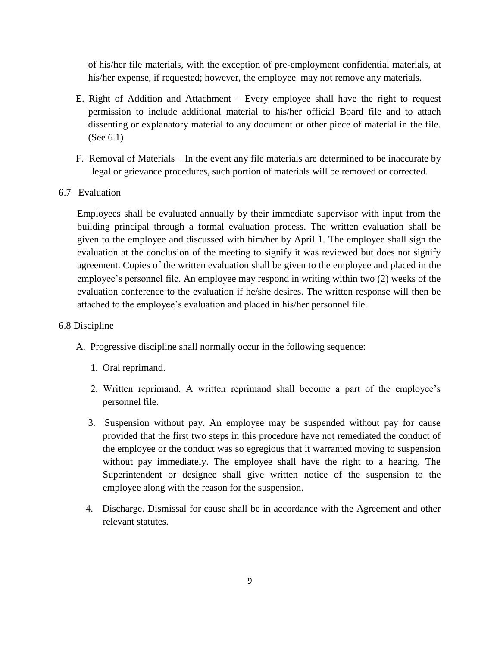of his/her file materials, with the exception of pre-employment confidential materials, at his/her expense, if requested; however, the employee may not remove any materials.

- E. Right of Addition and Attachment Every employee shall have the right to request permission to include additional material to his/her official Board file and to attach dissenting or explanatory material to any document or other piece of material in the file. (See 6.1)
- F. Removal of Materials In the event any file materials are determined to be inaccurate by legal or grievance procedures, such portion of materials will be removed or corrected.
- 6.7 Evaluation

Employees shall be evaluated annually by their immediate supervisor with input from the building principal through a formal evaluation process. The written evaluation shall be given to the employee and discussed with him/her by April 1. The employee shall sign the evaluation at the conclusion of the meeting to signify it was reviewed but does not signify agreement. Copies of the written evaluation shall be given to the employee and placed in the employee's personnel file. An employee may respond in writing within two (2) weeks of the evaluation conference to the evaluation if he/she desires. The written response will then be attached to the employee's evaluation and placed in his/her personnel file.

### 6.8 Discipline

- A. Progressive discipline shall normally occur in the following sequence:
	- 1. Oral reprimand.
	- 2. Written reprimand. A written reprimand shall become a part of the employee's personnel file.
	- 3. Suspension without pay. An employee may be suspended without pay for cause provided that the first two steps in this procedure have not remediated the conduct of the employee or the conduct was so egregious that it warranted moving to suspension without pay immediately. The employee shall have the right to a hearing. The Superintendent or designee shall give written notice of the suspension to the employee along with the reason for the suspension.
	- 4. Discharge. Dismissal for cause shall be in accordance with the Agreement and other relevant statutes.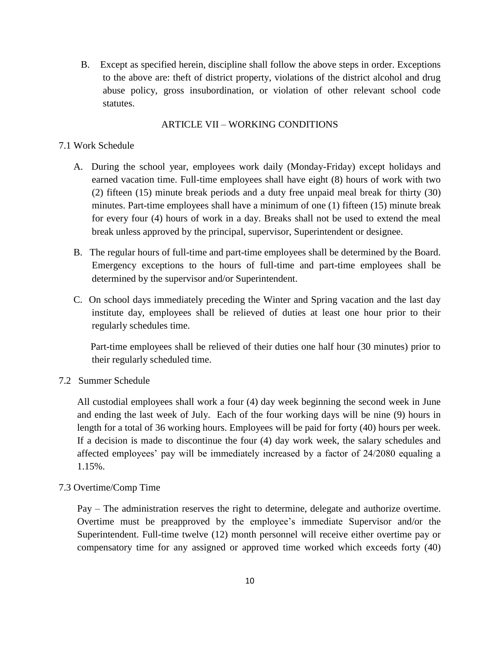B. Except as specified herein, discipline shall follow the above steps in order. Exceptions to the above are: theft of district property, violations of the district alcohol and drug abuse policy, gross insubordination, or violation of other relevant school code statutes.

## ARTICLE VII – WORKING CONDITIONS

## 7.1 Work Schedule

- A. During the school year, employees work daily (Monday-Friday) except holidays and earned vacation time. Full-time employees shall have eight (8) hours of work with two (2) fifteen (15) minute break periods and a duty free unpaid meal break for thirty (30) minutes. Part-time employees shall have a minimum of one (1) fifteen (15) minute break for every four (4) hours of work in a day. Breaks shall not be used to extend the meal break unless approved by the principal, supervisor, Superintendent or designee.
- B. The regular hours of full-time and part-time employees shall be determined by the Board. Emergency exceptions to the hours of full-time and part-time employees shall be determined by the supervisor and/or Superintendent.
- C. On school days immediately preceding the Winter and Spring vacation and the last day institute day, employees shall be relieved of duties at least one hour prior to their regularly schedules time.

 Part-time employees shall be relieved of their duties one half hour (30 minutes) prior to their regularly scheduled time.

7.2 Summer Schedule

All custodial employees shall work a four (4) day week beginning the second week in June and ending the last week of July. Each of the four working days will be nine (9) hours in length for a total of 36 working hours. Employees will be paid for forty (40) hours per week. If a decision is made to discontinue the four (4) day work week, the salary schedules and affected employees' pay will be immediately increased by a factor of 24/2080 equaling a 1.15%.

# 7.3 Overtime/Comp Time

Pay – The administration reserves the right to determine, delegate and authorize overtime. Overtime must be preapproved by the employee's immediate Supervisor and/or the Superintendent. Full-time twelve (12) month personnel will receive either overtime pay or compensatory time for any assigned or approved time worked which exceeds forty (40)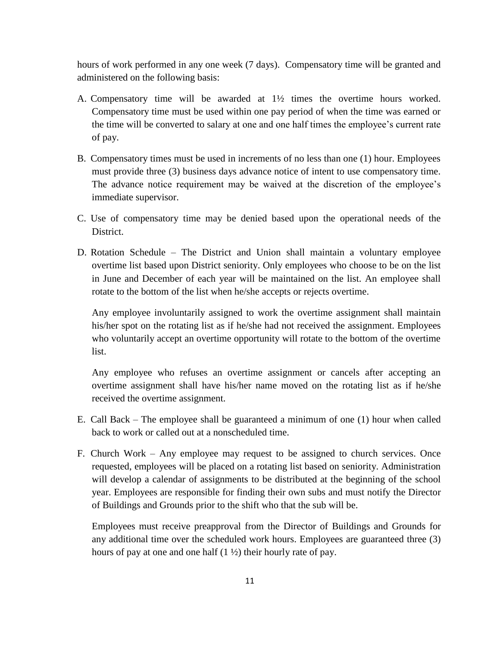hours of work performed in any one week (7 days). Compensatory time will be granted and administered on the following basis:

- A. Compensatory time will be awarded at  $1\frac{1}{2}$  times the overtime hours worked. Compensatory time must be used within one pay period of when the time was earned or the time will be converted to salary at one and one half times the employee's current rate of pay.
- B. Compensatory times must be used in increments of no less than one (1) hour. Employees must provide three (3) business days advance notice of intent to use compensatory time. The advance notice requirement may be waived at the discretion of the employee's immediate supervisor.
- C. Use of compensatory time may be denied based upon the operational needs of the District.
- D. Rotation Schedule The District and Union shall maintain a voluntary employee overtime list based upon District seniority. Only employees who choose to be on the list in June and December of each year will be maintained on the list. An employee shall rotate to the bottom of the list when he/she accepts or rejects overtime.

Any employee involuntarily assigned to work the overtime assignment shall maintain his/her spot on the rotating list as if he/she had not received the assignment. Employees who voluntarily accept an overtime opportunity will rotate to the bottom of the overtime list.

Any employee who refuses an overtime assignment or cancels after accepting an overtime assignment shall have his/her name moved on the rotating list as if he/she received the overtime assignment.

- E. Call Back The employee shall be guaranteed a minimum of one (1) hour when called back to work or called out at a nonscheduled time.
- F. Church Work Any employee may request to be assigned to church services. Once requested, employees will be placed on a rotating list based on seniority. Administration will develop a calendar of assignments to be distributed at the beginning of the school year. Employees are responsible for finding their own subs and must notify the Director of Buildings and Grounds prior to the shift who that the sub will be.

Employees must receive preapproval from the Director of Buildings and Grounds for any additional time over the scheduled work hours. Employees are guaranteed three (3) hours of pay at one and one half  $(1 \frac{1}{2})$  their hourly rate of pay.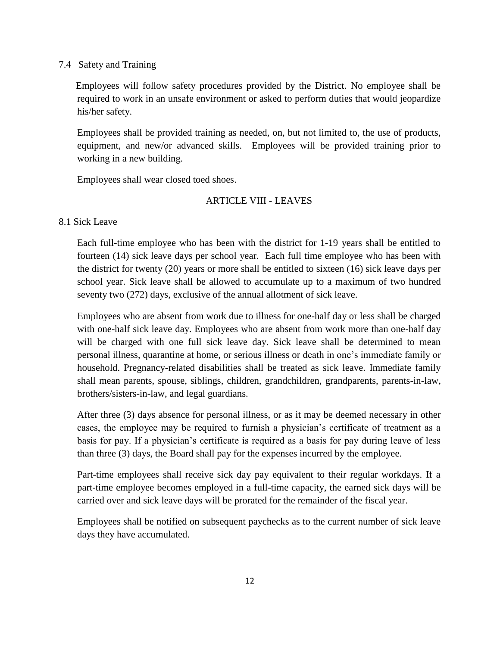### 7.4 Safety and Training

 Employees will follow safety procedures provided by the District. No employee shall be required to work in an unsafe environment or asked to perform duties that would jeopardize his/her safety.

Employees shall be provided training as needed, on, but not limited to, the use of products, equipment, and new/or advanced skills. Employees will be provided training prior to working in a new building.

Employees shall wear closed toed shoes.

# ARTICLE VIII - LEAVES

8.1 Sick Leave

Each full-time employee who has been with the district for 1-19 years shall be entitled to fourteen (14) sick leave days per school year. Each full time employee who has been with the district for twenty (20) years or more shall be entitled to sixteen (16) sick leave days per school year. Sick leave shall be allowed to accumulate up to a maximum of two hundred seventy two (272) days, exclusive of the annual allotment of sick leave.

Employees who are absent from work due to illness for one-half day or less shall be charged with one-half sick leave day. Employees who are absent from work more than one-half day will be charged with one full sick leave day. Sick leave shall be determined to mean personal illness, quarantine at home, or serious illness or death in one's immediate family or household. Pregnancy-related disabilities shall be treated as sick leave. Immediate family shall mean parents, spouse, siblings, children, grandchildren, grandparents, parents-in-law, brothers/sisters-in-law, and legal guardians.

After three (3) days absence for personal illness, or as it may be deemed necessary in other cases, the employee may be required to furnish a physician's certificate of treatment as a basis for pay. If a physician's certificate is required as a basis for pay during leave of less than three (3) days, the Board shall pay for the expenses incurred by the employee.

Part-time employees shall receive sick day pay equivalent to their regular workdays. If a part-time employee becomes employed in a full-time capacity, the earned sick days will be carried over and sick leave days will be prorated for the remainder of the fiscal year.

Employees shall be notified on subsequent paychecks as to the current number of sick leave days they have accumulated.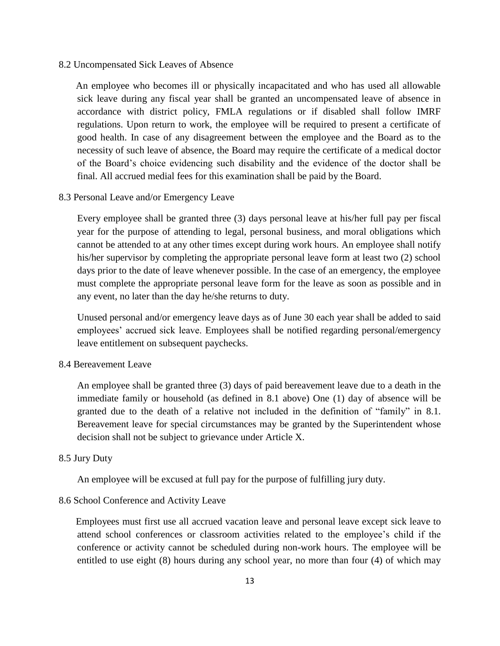### 8.2 Uncompensated Sick Leaves of Absence

 An employee who becomes ill or physically incapacitated and who has used all allowable sick leave during any fiscal year shall be granted an uncompensated leave of absence in accordance with district policy, FMLA regulations or if disabled shall follow IMRF regulations. Upon return to work, the employee will be required to present a certificate of good health. In case of any disagreement between the employee and the Board as to the necessity of such leave of absence, the Board may require the certificate of a medical doctor of the Board's choice evidencing such disability and the evidence of the doctor shall be final. All accrued medial fees for this examination shall be paid by the Board.

### 8.3 Personal Leave and/or Emergency Leave

Every employee shall be granted three (3) days personal leave at his/her full pay per fiscal year for the purpose of attending to legal, personal business, and moral obligations which cannot be attended to at any other times except during work hours. An employee shall notify his/her supervisor by completing the appropriate personal leave form at least two (2) school days prior to the date of leave whenever possible. In the case of an emergency, the employee must complete the appropriate personal leave form for the leave as soon as possible and in any event, no later than the day he/she returns to duty.

Unused personal and/or emergency leave days as of June 30 each year shall be added to said employees' accrued sick leave. Employees shall be notified regarding personal/emergency leave entitlement on subsequent paychecks.

### 8.4 Bereavement Leave

An employee shall be granted three (3) days of paid bereavement leave due to a death in the immediate family or household (as defined in 8.1 above) One (1) day of absence will be granted due to the death of a relative not included in the definition of "family" in 8.1. Bereavement leave for special circumstances may be granted by the Superintendent whose decision shall not be subject to grievance under Article X.

### 8.5 Jury Duty

An employee will be excused at full pay for the purpose of fulfilling jury duty.

### 8.6 School Conference and Activity Leave

 Employees must first use all accrued vacation leave and personal leave except sick leave to attend school conferences or classroom activities related to the employee's child if the conference or activity cannot be scheduled during non-work hours. The employee will be entitled to use eight (8) hours during any school year, no more than four (4) of which may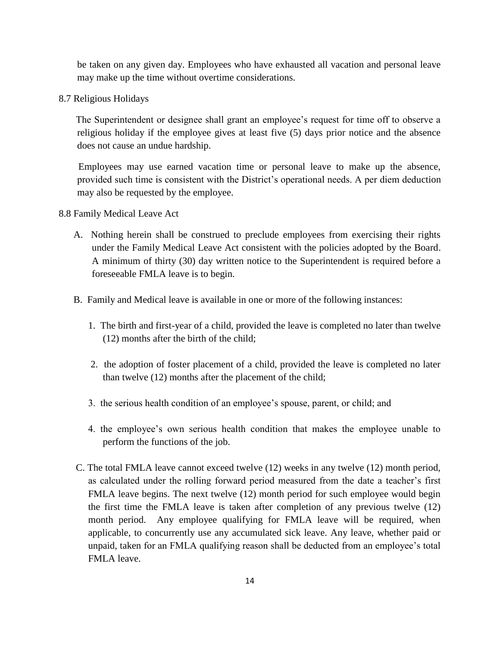be taken on any given day. Employees who have exhausted all vacation and personal leave may make up the time without overtime considerations.

8.7 Religious Holidays

 The Superintendent or designee shall grant an employee's request for time off to observe a religious holiday if the employee gives at least five (5) days prior notice and the absence does not cause an undue hardship.

 Employees may use earned vacation time or personal leave to make up the absence, provided such time is consistent with the District's operational needs. A per diem deduction may also be requested by the employee.

8.8 Family Medical Leave Act

- A. Nothing herein shall be construed to preclude employees from exercising their rights under the Family Medical Leave Act consistent with the policies adopted by the Board. A minimum of thirty (30) day written notice to the Superintendent is required before a foreseeable FMLA leave is to begin.
- B. Family and Medical leave is available in one or more of the following instances:
	- 1. The birth and first-year of a child, provided the leave is completed no later than twelve (12) months after the birth of the child;
	- 2. the adoption of foster placement of a child, provided the leave is completed no later than twelve (12) months after the placement of the child;
	- 3. the serious health condition of an employee's spouse, parent, or child; and
	- 4. the employee's own serious health condition that makes the employee unable to perform the functions of the job.
- C. The total FMLA leave cannot exceed twelve (12) weeks in any twelve (12) month period, as calculated under the rolling forward period measured from the date a teacher's first FMLA leave begins. The next twelve (12) month period for such employee would begin the first time the FMLA leave is taken after completion of any previous twelve (12) month period. Any employee qualifying for FMLA leave will be required, when applicable, to concurrently use any accumulated sick leave. Any leave, whether paid or unpaid, taken for an FMLA qualifying reason shall be deducted from an employee's total FMLA leave.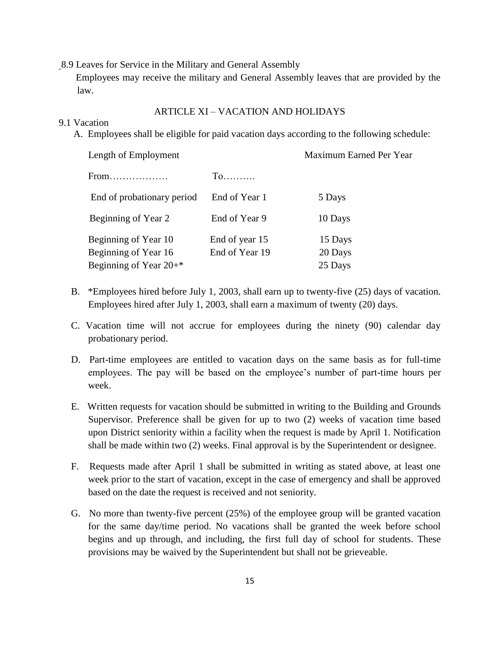8.9 Leaves for Service in the Military and General Assembly

 Employees may receive the military and General Assembly leaves that are provided by the law.

### ARTICLE XI – VACATION AND HOLIDAYS

### 9.1 Vacation

A. Employees shall be eligible for paid vacation days according to the following schedule:

| Length of Employment                 |                | Maximum Earned Per Year |  |
|--------------------------------------|----------------|-------------------------|--|
| $From \dots \dots \dots \dots \dots$ |                |                         |  |
| End of probationary period           | End of Year 1  | 5 Days                  |  |
| Beginning of Year 2                  | End of Year 9  | 10 Days                 |  |
| Beginning of Year 10                 | End of year 15 | 15 Days                 |  |
| Beginning of Year 16                 | End of Year 19 | 20 Days                 |  |
| Beginning of Year $20+$ *            |                | 25 Days                 |  |
|                                      |                |                         |  |

- B. \*Employees hired before July 1, 2003, shall earn up to twenty-five (25) days of vacation. Employees hired after July 1, 2003, shall earn a maximum of twenty (20) days.
- C. Vacation time will not accrue for employees during the ninety (90) calendar day probationary period.
- D. Part-time employees are entitled to vacation days on the same basis as for full-time employees. The pay will be based on the employee's number of part-time hours per week.
- E. Written requests for vacation should be submitted in writing to the Building and Grounds Supervisor. Preference shall be given for up to two (2) weeks of vacation time based upon District seniority within a facility when the request is made by April 1. Notification shall be made within two (2) weeks. Final approval is by the Superintendent or designee.
- F. Requests made after April 1 shall be submitted in writing as stated above, at least one week prior to the start of vacation, except in the case of emergency and shall be approved based on the date the request is received and not seniority.
- G. No more than twenty-five percent (25%) of the employee group will be granted vacation for the same day/time period. No vacations shall be granted the week before school begins and up through, and including, the first full day of school for students. These provisions may be waived by the Superintendent but shall not be grieveable.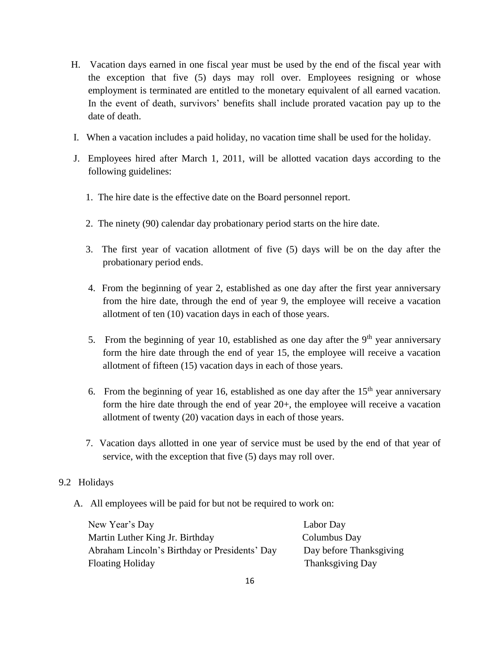- H. Vacation days earned in one fiscal year must be used by the end of the fiscal year with the exception that five (5) days may roll over. Employees resigning or whose employment is terminated are entitled to the monetary equivalent of all earned vacation. In the event of death, survivors' benefits shall include prorated vacation pay up to the date of death.
- I. When a vacation includes a paid holiday, no vacation time shall be used for the holiday.
- J. Employees hired after March 1, 2011, will be allotted vacation days according to the following guidelines:
	- 1. The hire date is the effective date on the Board personnel report.
	- 2. The ninety (90) calendar day probationary period starts on the hire date.
	- 3. The first year of vacation allotment of five (5) days will be on the day after the probationary period ends.
	- 4. From the beginning of year 2, established as one day after the first year anniversary from the hire date, through the end of year 9, the employee will receive a vacation allotment of ten (10) vacation days in each of those years.
	- 5. From the beginning of year 10, established as one day after the  $9<sup>th</sup>$  year anniversary form the hire date through the end of year 15, the employee will receive a vacation allotment of fifteen (15) vacation days in each of those years.
	- 6. From the beginning of year 16, established as one day after the  $15<sup>th</sup>$  year anniversary form the hire date through the end of year 20+, the employee will receive a vacation allotment of twenty (20) vacation days in each of those years.
	- 7. Vacation days allotted in one year of service must be used by the end of that year of service, with the exception that five (5) days may roll over.

# 9.2 Holidays

A. All employees will be paid for but not be required to work on:

| New Year's Day                                | Labor Day               |
|-----------------------------------------------|-------------------------|
| Martin Luther King Jr. Birthday               | Columbus Day            |
| Abraham Lincoln's Birthday or Presidents' Day | Day before Thanksgiving |
| <b>Floating Holiday</b>                       | <b>Thanksgiving Day</b> |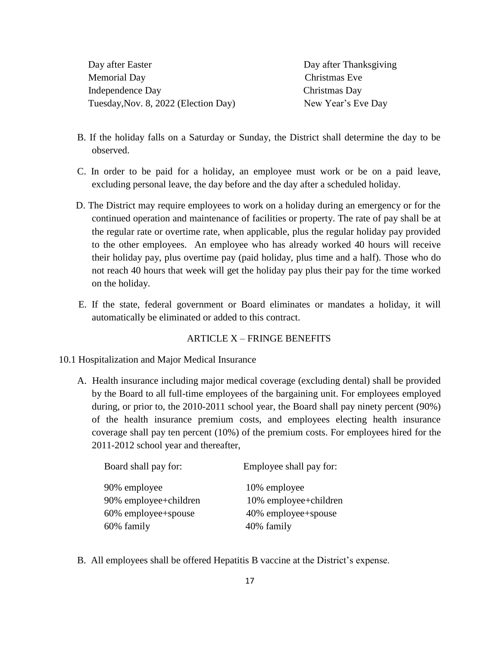Day after Easter **Day after Thanksgiving**  Memorial Day Christmas Eve Independence Day Christmas Day Tuesday, Nov. 8, 2022 (Election Day) New Year's Eve Day

- B. If the holiday falls on a Saturday or Sunday, the District shall determine the day to be observed.
- C. In order to be paid for a holiday, an employee must work or be on a paid leave, excluding personal leave, the day before and the day after a scheduled holiday.
- D. The District may require employees to work on a holiday during an emergency or for the continued operation and maintenance of facilities or property. The rate of pay shall be at the regular rate or overtime rate, when applicable, plus the regular holiday pay provided to the other employees.An employee who has already worked 40 hours will receive their holiday pay, plus overtime pay (paid holiday, plus time and a half). Those who do not reach 40 hours that week will get the holiday pay plus their pay for the time worked on the holiday.
- E. If the state, federal government or Board eliminates or mandates a holiday, it will automatically be eliminated or added to this contract.

## ARTICLE  $X$  – FRINGE BENEFITS

- 10.1 Hospitalization and Major Medical Insurance
	- A. Health insurance including major medical coverage (excluding dental) shall be provided by the Board to all full-time employees of the bargaining unit. For employees employed during, or prior to, the 2010-2011 school year, the Board shall pay ninety percent (90%) of the health insurance premium costs, and employees electing health insurance coverage shall pay ten percent (10%) of the premium costs. For employees hired for the 2011-2012 school year and thereafter,

| Board shall pay for:  | Employee shall pay for: |
|-----------------------|-------------------------|
| 90% employee          | 10% employee            |
| 90% employee+children | 10% employee+children   |
| 60% employee+spouse   | 40% employee+spouse     |
| 60% family            | 40% family              |

B. All employees shall be offered Hepatitis B vaccine at the District's expense.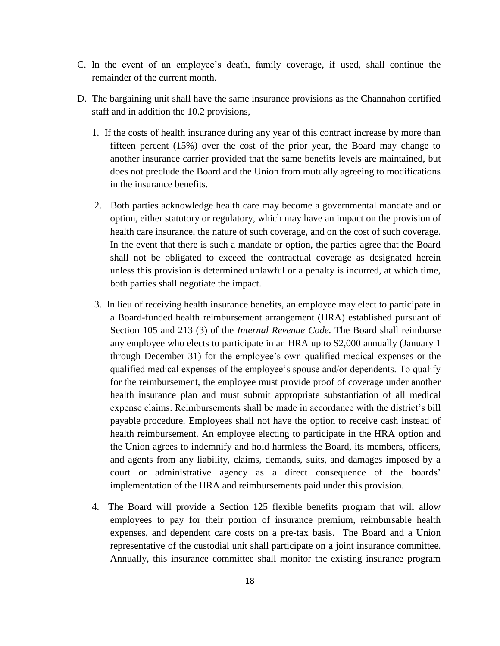- C. In the event of an employee's death, family coverage, if used, shall continue the remainder of the current month.
- D. The bargaining unit shall have the same insurance provisions as the Channahon certified staff and in addition the 10.2 provisions,
	- 1. If the costs of health insurance during any year of this contract increase by more than fifteen percent (15%) over the cost of the prior year, the Board may change to another insurance carrier provided that the same benefits levels are maintained, but does not preclude the Board and the Union from mutually agreeing to modifications in the insurance benefits.
	- 2. Both parties acknowledge health care may become a governmental mandate and or option, either statutory or regulatory, which may have an impact on the provision of health care insurance, the nature of such coverage, and on the cost of such coverage. In the event that there is such a mandate or option, the parties agree that the Board shall not be obligated to exceed the contractual coverage as designated herein unless this provision is determined unlawful or a penalty is incurred, at which time, both parties shall negotiate the impact.
	- 3. In lieu of receiving health insurance benefits, an employee may elect to participate in a Board-funded health reimbursement arrangement (HRA) established pursuant of Section 105 and 213 (3) of the *Internal Revenue Code.* The Board shall reimburse any employee who elects to participate in an HRA up to \$2,000 annually (January 1 through December 31) for the employee's own qualified medical expenses or the qualified medical expenses of the employee's spouse and/or dependents. To qualify for the reimbursement, the employee must provide proof of coverage under another health insurance plan and must submit appropriate substantiation of all medical expense claims. Reimbursements shall be made in accordance with the district's bill payable procedure. Employees shall not have the option to receive cash instead of health reimbursement. An employee electing to participate in the HRA option and the Union agrees to indemnify and hold harmless the Board, its members, officers, and agents from any liability, claims, demands, suits, and damages imposed by a court or administrative agency as a direct consequence of the boards' implementation of the HRA and reimbursements paid under this provision.
	- 4. The Board will provide a Section 125 flexible benefits program that will allow employees to pay for their portion of insurance premium, reimbursable health expenses, and dependent care costs on a pre-tax basis. The Board and a Union representative of the custodial unit shall participate on a joint insurance committee. Annually, this insurance committee shall monitor the existing insurance program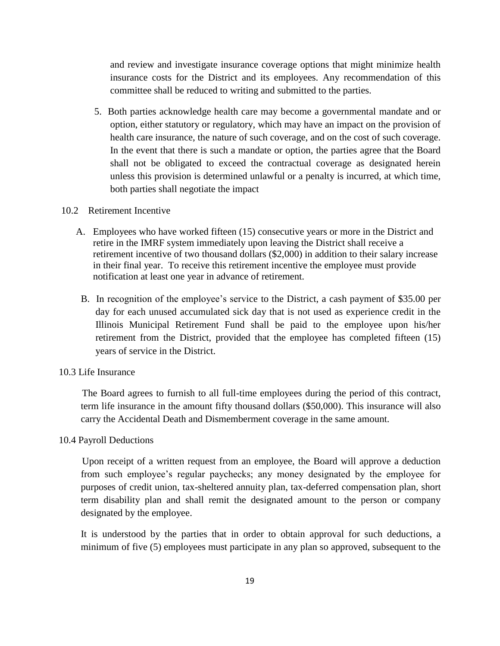and review and investigate insurance coverage options that might minimize health insurance costs for the District and its employees. Any recommendation of this committee shall be reduced to writing and submitted to the parties.

 5. Both parties acknowledge health care may become a governmental mandate and or option, either statutory or regulatory, which may have an impact on the provision of health care insurance, the nature of such coverage, and on the cost of such coverage. In the event that there is such a mandate or option, the parties agree that the Board shall not be obligated to exceed the contractual coverage as designated herein unless this provision is determined unlawful or a penalty is incurred, at which time, both parties shall negotiate the impact

### 10.2 Retirement Incentive

- A. Employees who have worked fifteen (15) consecutive years or more in the District and retire in the IMRF system immediately upon leaving the District shall receive a retirement incentive of two thousand dollars (\$2,000) in addition to their salary increase in their final year. To receive this retirement incentive the employee must provide notification at least one year in advance of retirement.
- B. In recognition of the employee's service to the District, a cash payment of \$35.00 per day for each unused accumulated sick day that is not used as experience credit in the Illinois Municipal Retirement Fund shall be paid to the employee upon his/her retirement from the District, provided that the employee has completed fifteen (15) years of service in the District.

### 10.3 Life Insurance

 The Board agrees to furnish to all full-time employees during the period of this contract, term life insurance in the amount fifty thousand dollars (\$50,000). This insurance will also carry the Accidental Death and Dismemberment coverage in the same amount.

### 10.4 Payroll Deductions

 Upon receipt of a written request from an employee, the Board will approve a deduction from such employee's regular paychecks; any money designated by the employee for purposes of credit union, tax-sheltered annuity plan, tax-deferred compensation plan, short term disability plan and shall remit the designated amount to the person or company designated by the employee.

It is understood by the parties that in order to obtain approval for such deductions, a minimum of five (5) employees must participate in any plan so approved, subsequent to the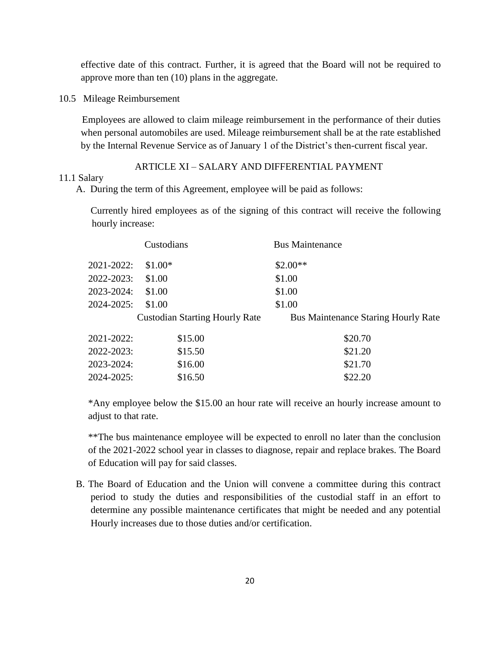effective date of this contract. Further, it is agreed that the Board will not be required to approve more than ten (10) plans in the aggregate.

10.5 Mileage Reimbursement

 Employees are allowed to claim mileage reimbursement in the performance of their duties when personal automobiles are used. Mileage reimbursement shall be at the rate established by the Internal Revenue Service as of January 1 of the District's then-current fiscal year.

## ARTICLE XI – SALARY AND DIFFERENTIAL PAYMENT

#### 11.1 Salary

A. During the term of this Agreement, employee will be paid as follows:

 Currently hired employees as of the signing of this contract will receive the following hourly increase:

|                 | Custodians                            | <b>Bus Maintenance</b>                     |
|-----------------|---------------------------------------|--------------------------------------------|
| 2021-2022:      | $$1.00*$                              | $$2.00**$                                  |
| 2022-2023:      | \$1.00                                | \$1.00                                     |
| 2023-2024:      | \$1.00                                | \$1.00                                     |
| $2024 - 2025$ : | \$1.00                                | \$1.00                                     |
|                 | <b>Custodian Starting Hourly Rate</b> | <b>Bus Maintenance Staring Hourly Rate</b> |
| 2021-2022:      | \$15.00                               | \$20.70                                    |
| 2022-2023:      | \$15.50                               | \$21.20                                    |
| 2023-2024:      | \$16.00                               | \$21.70                                    |
| 2024-2025:      | \$16.50                               | \$22.20                                    |
|                 |                                       |                                            |

\*Any employee below the \$15.00 an hour rate will receive an hourly increase amount to adjust to that rate.

\*\*The bus maintenance employee will be expected to enroll no later than the conclusion of the 2021-2022 school year in classes to diagnose, repair and replace brakes. The Board of Education will pay for said classes.

B. The Board of Education and the Union will convene a committee during this contract period to study the duties and responsibilities of the custodial staff in an effort to determine any possible maintenance certificates that might be needed and any potential Hourly increases due to those duties and/or certification.